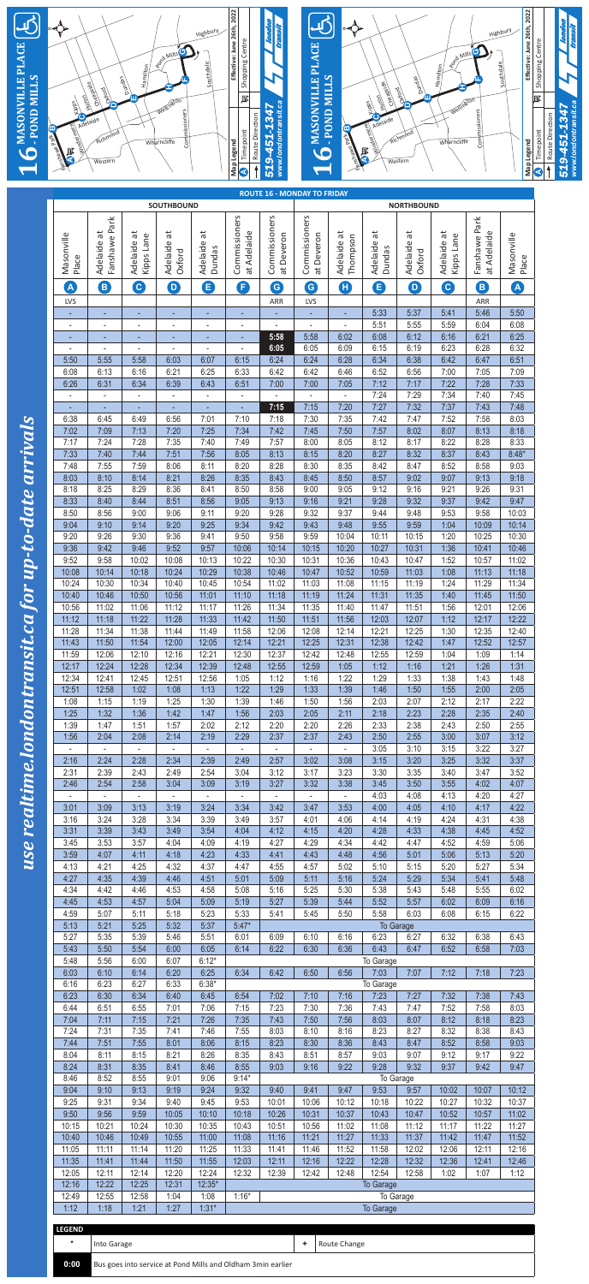use realtime.londontransit.ca for up-to-date arrivals *use realtime.londontransit.ca for up-to-date arrivals*



| A                        | B              | $\mathbf{C}$                                                | $\bigcirc$     | B              | $\vert \mathsf{F} \vert$ | $\left( G\right)$ | G              | Œ              | G                | $\left( \mathsf{D}\right)$ | $\mathbf{c}$ | $\left($ B     | $\left( \mathbf{A}\right)$ |
|--------------------------|----------------|-------------------------------------------------------------|----------------|----------------|--------------------------|-------------------|----------------|----------------|------------------|----------------------------|--------------|----------------|----------------------------|
| LVS                      |                |                                                             |                |                |                          | ARR               | LVS            |                |                  |                            |              | ARR            |                            |
|                          |                |                                                             |                |                |                          |                   |                | ÷              | 5:33             | 5:37                       | 5:41         | 5:46           | 5:50                       |
|                          |                |                                                             |                |                |                          |                   | -              |                | 5:51             | 5:55                       | 5:59         | 6:04           | 6:08                       |
|                          |                |                                                             |                |                |                          | 5:58              | 5:58           | 6:02           | 6:08             | 6:12                       | 6:16         | 6:21           | 6:25                       |
|                          | ۰.             |                                                             | $\sim$         | $\blacksquare$ |                          | 6:05              | 6:05           | 6:09           | 6:15             | 6:19                       | 6:23         | 6:28           | 6:32                       |
| 5:50                     | 5:55           | 5:58                                                        | 6:03           | 6:07           | 6:15                     | 6:24              | 6:24           | 6:28           | 6:34             | 6:38                       | 6:42         | 6:47           | 6:51                       |
| 6:08                     | 6:13           | 6:16                                                        | 6:21           | 6:25           | 6:33                     | 6:42              | 6:42           | 6:46           | 6:52             | 6:56                       | 7:00         | 7:05           | 7:09                       |
| 6:26                     | 6:31           | 6:34                                                        | 6:39           | 6:43           | 6:51                     | 7:00              | 7:00           | 7:05           | 7:12             | 7:17                       | 7:22         | 7:28           | 7:33                       |
|                          |                |                                                             |                |                |                          |                   |                |                | 7:24             | 7:29                       | 7:34         | 7:40           | 7:45                       |
|                          |                |                                                             |                |                |                          | 7:15              | 7:15           | 7:20           | 7:27             | 7:32                       | 7:37         | 7:43           | 7:48                       |
| 6:38                     | 6:45           | 6:49                                                        | 6:56           | 7:01           | 7:10                     | 7:18              | 7:30           | 7:35           | 7:42             | 7:47                       | 7:52         | 7:58           | 8:03                       |
| 7:02                     | 7:09           | 7:13                                                        | 7:20           | 7:25           | 7:34                     | 7:42              | 7:45           | 7:50           | 7:57             | 8:02                       | 8:07         | 8:13           | 8:18                       |
| 7:17                     | 7:24           | 7:28                                                        | 7:35           | 7:40           | 7:49                     | 7:57              | 8:00           | 8:05           | 8:12             | 8:17                       | 8:22         | 8:28           | 8:33                       |
| 7:33                     | 7:40           | 7:44                                                        | 7:51           | 7:56           | 8:05                     | 8:13              | 8:15           | 8:20           | 8:27             | 8:32                       | 8:37         | 8:43           | $8:48*$                    |
| 7:48                     | 7:55           | 7:59                                                        | 8:06           | 8:11           | 8:20                     | 8:28              | 8:30           | 8:35           | 8:42             | 8:47                       | 8:52         | 8:58           | 9:03                       |
| 8:03                     | 8:10           | 8:14                                                        | 8:21           | 8:26           | 8:35                     | 8:43              | 8:45           | 8:50           | 8:57             | 9:02                       | 9:07         | 9:13           | 9:18                       |
| 8:18                     | 8:25           | 8:29                                                        | 8:36           | 8:41           | 8:50                     | 8:58              | 9:00           | 9:05           | 9:12             | 9:16                       | 9:21         | 9:26           | 9:31                       |
| 8:33                     | 8:40           | 8:44                                                        | 8:51           | 8:56           | 9:05                     | 9:13              | 9:16           | 9:21           | 9:28             | 9:32                       | 9:37         | 9:42           | 9:47                       |
| 8:50                     | 8:56           | 9:00                                                        | 9:06           | 9:11           | 9:20                     | 9:28              | 9:32           | 9:37           | 9:44             | 9:48                       | 9:53         | 9:58           | 10:03                      |
| 9:04                     | 9:10           | 9:14                                                        | 9:20           | 9:25           | 9:34                     | 9:42              | 9:43           | 9:48           | 9:55             | 9:59                       | 1:04         | 10:09          | 10:14                      |
| 9:20                     | 9:26           | 9:30                                                        | 9:36           | 9:41           | 9:50                     | 9:58              | 9:59           | 10:04          | 10:11            | 10:15                      | 1:20         | 10:25          | 10:30                      |
| 9:36                     | 9:42           | 9:46                                                        | 9:52           | 9:57           | 10:06                    | 10:14             | 10:15          | 10:20          | 10:27            | 10:31                      | 1:36         | 10:41          | 10:46                      |
| 9:52                     | 9:58           | 10:02                                                       | 10:08          | 10:13          | 10:22                    | 10:30             | 10:31          | 10:36          | 10:43            | 10:47                      | 1:52         | 10:57          | 11:02                      |
| 10:08<br>10:24           | 10:14          | 10:18<br>10:34                                              | 10:24          | 10:29          | 10:38                    | 10:46             | 10:47          | 10:52<br>11:08 | 10:59            | 11:03                      | 1:08<br>1:24 | 11:13<br>11:29 | 11:18                      |
|                          | 10:30          | 10:50                                                       | 10:40          | 10:45          | 10:54<br>11:10           | 11:02<br>11:18    | 11:03          | 11:24          | 11:15            | 11:19                      |              |                | 11:34                      |
| 10:40                    | 10:46          |                                                             | 10:56          | 11:01          |                          |                   | 11:19          |                | 11:31            | 11:35                      | 1:40         | 11:45          | 11:50                      |
| 10:56<br>11:12           | 11:02<br>11:18 | 11:06<br>11:22                                              | 11:12<br>11:28 | 11:17<br>11:33 | 11:26<br>11:42           | 11:34<br>11:50    | 11:35<br>11:51 | 11:40<br>11:56 | 11:47<br>12:03   | 11:51<br>12:07             | 1:56<br>1:12 | 12:01<br>12:17 | 12:06<br>12:22             |
| 11:28                    | 11:34          | 11:38                                                       | 11:44          | 11:49          | 11:58                    | 12:06             | 12:08          | 12:14          | 12:21            | 12:25                      | 1:30         | 12:35          | 12:40                      |
| 11:43                    | 11:50          | 11:54                                                       | 12:00          | 12:05          | 12:14                    | 12:21             | 12:25          | 12:31          | 12:38            | 12:42                      | 1:47         | 12:52          | 12:57                      |
| 11:59                    | 12:06          | 12:10                                                       | 12:16          | 12:21          | 12:30                    | 12:37             | 12:42          | 12:48          | 12:55            | 12:59                      | 1:04         | 1:09           | 1:14                       |
| 12:17                    | 12:24          | 12:28                                                       | 12:34          | 12:39          | 12:48                    | 12:55             | 12:59          | 1:05           | 1:12             | 1:16                       | 1:21         | 1:26           | 1:31                       |
| 12:34                    | 12:41          | 12:45                                                       | 12:51          | 12:56          | 1:05                     | 1:12              | 1:16           | 1:22           | 1:29             | 1:33                       | 1:38         | 1:43           | 1:48                       |
| 12:51                    | 12:58          | 1:02                                                        | 1:08           | 1:13           | 1:22                     | 1:29              | 1:33           | 1:39           | 1:46             | 1:50                       | 1:55         | 2:00           | 2:05                       |
| 1:08                     | 1:15           | 1:19                                                        | 1:25           | 1:30           | 1:39                     | 1:46              | 1:50           | 1:56           | 2:03             | 2:07                       | 2:12         | 2:17           | 2:22                       |
| 1:25                     | 1:32           | 1:36                                                        | 1:42           | 1:47           | 1:56                     | 2:03              | 2:05           | 2:11           | 2:18             | 2:23                       | 2:28         | 2:35           | 2:40                       |
| 1:39                     | 1:47           | 1:51                                                        | 1:57           | 2:02           | 2:12                     | 2:20              | 2:20           | 2:26           | 2:33             | 2:38                       | 2:43         | 2:50           | 2:55                       |
| 1:56                     | 2:04           | 2:08                                                        | 2:14           | 2:19           | 2:29                     | 2:37              | 2:37           | 2:43           | 2:50             | 2:55                       | 3:00         | 3:07           | 3:12                       |
|                          |                |                                                             |                |                |                          |                   |                |                | 3:05             | 3:10                       | 3:15         | 3:22           | 3:27                       |
| 2:16                     | 2:24           | 2:28                                                        | 2:34           | 2:39           | 2:49                     | 2:57              | 3:02           | 3:08           | 3:15             | 3:20                       | 3:25         | 3:32           | 3:37                       |
| 2:31                     | 2:39           | 2:43                                                        | 2:49           | 2:54           | 3:04                     | 3:12              | 3:17           | 3:23           | 3:30             | 3:35                       | 3:40         | 3:47           | 3:52                       |
| 2:46                     | 2:54           | 2:58                                                        | 3:04           | 3:09           | 3:19                     | 3:27              | 3:32           | 3:38           | 3:45             | 3:50                       | 3:55         | 4:02           | 4:07                       |
| $\overline{\phantom{a}}$ |                |                                                             |                |                |                          |                   |                |                | 4:03             | 4:08                       | 4:13         | 4:20           | 4:27                       |
| 3:01                     | 3:09           | 3:13                                                        | 3:19           | 3:24           | 3:34                     | 3:42              | 3:47           | 3:53           | 4:00             | 4:05                       | 4:10         | 4:17           | 4:22                       |
| 3:16                     | 3:24           | 3:28                                                        | 3:34           | 3:39           | 3:49                     | 3:57              | 4:01           | 4:06           | 4:14             | 4:19                       | 4:24         | 4:31           | 4:38                       |
| 3:31                     | 3:39           | 3:43                                                        | 3:49           | 3:54           | 4:04                     | 4:12              | 4:15           | 4:20           | 4:28             | 4:33                       | 4:38         | 4:45           | 4:52                       |
| 3:45                     | 3:53           | 3:57                                                        | 4:04           | 4:09           | 4:19                     | 4:27              | 4:29           | 4:34           | 4:42             | 4:47                       | 4:52         | 4:59           | 5:06                       |
| 3:59                     | 4:07           | 4:11                                                        | 4:18           | 4:23           | 4:33                     | 4:41              | 4:43           | 4:48           | 4:56             | 5:01                       | 5:06         | 5:13           | 5:20                       |
| 4:13                     | 4:21           | 4:25                                                        | 4:32           | 4:37           | 4:47                     | 4:55              | 4:57           | 5:02           | 5:10             | 5:15                       | 5:20         | 5:27           | 5:34                       |
| 4:27                     | 4:35           | 4:39                                                        | 4:46           | 4:51           | 5:01                     | 5:09              | 5:11           | 5:16           | 5:24             | 5:29                       | 5:34         | 5:41           | 5:48                       |
| 4:34                     | 4:42           | 4:46                                                        | 4:53           | 4:58           | 5:08                     | 5:16              | 5:25           | 5:30           | 5:38             | 5:43                       | 5:48         | 5:55           | 6:02                       |
| 4:45                     | 4:53           | 4:57                                                        | 5:04           | 5:09           | 5:19                     | 5:27              | 5:39           | 5:44           | 5:52             | 5:57                       | 6:02         | 6:09           | 6:16                       |
| 4:59                     | 5:07           | 5:11                                                        | 5:18           | 5:23           | 5:33                     | 5:41              | 5:45           | 5:50           | 5:58             | 6:03                       | 6:08         | 6:15           | 6:22                       |
| 5:13                     | 5:21           | 5:25                                                        | 5:32           | 5:37           | $5:47*$                  |                   |                |                |                  | To Garage                  |              |                |                            |
| 5:27                     | 5:35           | 5:39                                                        | 5:46           | 5:51           | 6:01                     | 6:09              | 6:10           | 6:16           | 6:23             | 6:27                       | 6:32         | 6:38           | 6:43                       |
| 5:43                     | 5:50           | 5:54                                                        | 6:00           | 6:05           | 6:14                     | 6:22              | 6:30           | 6:36           | 6:43             | 6:47                       | 6:52         | 6:58           | 7:03                       |
| 5:48                     | 5:56           | 6:00                                                        | 6:07           | $6:12*$        |                          |                   |                |                | To Garage        |                            |              |                |                            |
| 6:03                     | 6:10           | 6:14                                                        | 6:20           | 6:25           | 6:34                     | 6:42              | 6:50           | 6:56           | 7:03             | 7:07                       | 7:12         | 7:18           | 7:23                       |
| 6:16                     | 6:23           | 6:27                                                        | 6:33           | $6:38*$        |                          |                   |                |                | To Garage        |                            |              |                |                            |
| 6:23                     | 6:30           | 6:34                                                        | 6:40           | 6:45           | 6:54                     | 7:02              | 7:10           | 7:16           | 7:23             | 7:27                       | 7:32         | 7:38           | 7:43                       |
| 6:44                     | 6:51<br>7:11   | 6:55                                                        | 7:01           | 7:06<br>7:26   | 7:15<br>7:35             | 7:23              | 7:30<br>7:50   | 7:36<br>7:56   | 7:43             | 7:47<br>8:07               | 7:52<br>8:12 | 7:58<br>8:18   | 8:03<br>8:23               |
| 7:04<br>7:24             | 7:31           | 7:15<br>7:35                                                | 7:21<br>7:41   | 7:46           | 7:55                     | 7:43<br>8:03      | 8:10           | 8:16           | 8:03<br>8:23     | 8:27                       | 8:32         | 8:38           | 8:43                       |
| 7:44                     | 7:51           | 7:55                                                        | 8:01           | 8:06           | 8:15                     | 8:23              | 8:30           | 8:36           | 8:43             | 8:47                       | 8:52         | 8:58           | 9:03                       |
| 8:04                     | 8:11           | 8:15                                                        | 8:21           | 8:26           | 8:35                     | 8:43              | 8:51           | 8:57           | 9:03             | 9:07                       | 9:12         | 9:17           | 9:22                       |
| 8:24                     | 8:31           | 8:35                                                        | 8:41           | 8:46           | 8:55                     | 9:03              | 9:16           | 9:22           | 9:28             | 9:32                       | 9:37         | 9:42           | 9:47                       |
| 8:46                     | 8:52           | 8:55                                                        | 9:01           | 9:06           | $9:14*$                  |                   |                |                |                  | To Garage                  |              |                |                            |
| 9:04                     | 9:10           | 9:13                                                        | 9:19           | 9:24           | 9:32                     | 9:40              | 9:41           | 9:47           | 9:53             | 9:57                       | 10:02        | 10:07          | 10:12                      |
| 9:25                     | 9:31           | 9:34                                                        | 9:40           | 9:45           | 9:53                     | 10:01             | 10:06          | 10:12          | 10:18            | 10:22                      | 10:27        | 10:32          | 10:37                      |
| 9:50                     | 9:56           | 9:59                                                        | 10:05          | 10:10          | 10:18                    | 10:26             | 10:31          | 10:37          | 10:43            | 10:47                      | 10:52        | 10:57          | 11:02                      |
| 10:15                    | 10:21          | 10:24                                                       | 10:30          | 10:35          | 10:43                    | 10:51             | 10:56          | 11:02          | 11:08            | 11:12                      | 11:17        | 11:22          | 11:27                      |
| 10:40                    | 10:46          | 10:49                                                       | 10:55          | 11:00          | 11:08                    | 11:16             | 11:21          | 11:27          | 11:33            | 11:37                      | 11:42        | 11:47          | 11:52                      |
| 11:05                    | 11:11          | 11:14                                                       | 11:20          | 11:25          | 11:33                    | 11:41             | 11:46          | 11:52          | 11:58            | 12:02                      | 12:06        | 12:11          | 12:16                      |
| 11:35                    | 11:41          | 11:44                                                       | 11:50          | 11:55          | 12:03                    | 12:11             | 12:16          | 12:22          | 12:28            | 12:32                      | 12:36        | 12:41          | 12:46                      |
| 12:05                    | 12:11          | 12:14                                                       | 12:20          | 12:24          | 12:32                    | 12:39             | 12:42          | 12:48          | 12:54            | 12:58                      | 1:02         | 1:07           | 1:12                       |
| 12:16                    | 12:22          | 12:25                                                       | 12:31          | $12:35*$       |                          |                   |                |                | To Garage        |                            |              |                |                            |
| 12:49                    | 12:55          | 12:58                                                       | 1:04           | 1:08           | $1:16*$                  |                   |                |                |                  | To Garage                  |              |                |                            |
| 1:12                     | 1:18           | 1:21                                                        | 1:27           | $1:31*$        |                          |                   |                |                | <b>To Garage</b> |                            |              |                |                            |
|                          |                |                                                             |                |                |                          |                   |                |                |                  |                            |              |                |                            |
| <b>LEGEND</b>            |                |                                                             |                |                |                          |                   |                |                |                  |                            |              |                |                            |
| $\star$                  | Into Garage    |                                                             |                |                |                          |                   | ٠              | Route Change   |                  |                            |              |                |                            |
|                          |                |                                                             |                |                |                          |                   |                |                |                  |                            |              |                |                            |
| 0:00                     |                | Bus goes into service at Pond Mills and Oldham 3min earlier |                |                |                          |                   |                |                |                  |                            |              |                |                            |

| <b>LEGEND</b> |                                                             |              |
|---------------|-------------------------------------------------------------|--------------|
| $\star$       | Into Garage                                                 | Route Change |
| 0:00          | Bus goes into service at Pond Mills and Oldham 3min earlier |              |